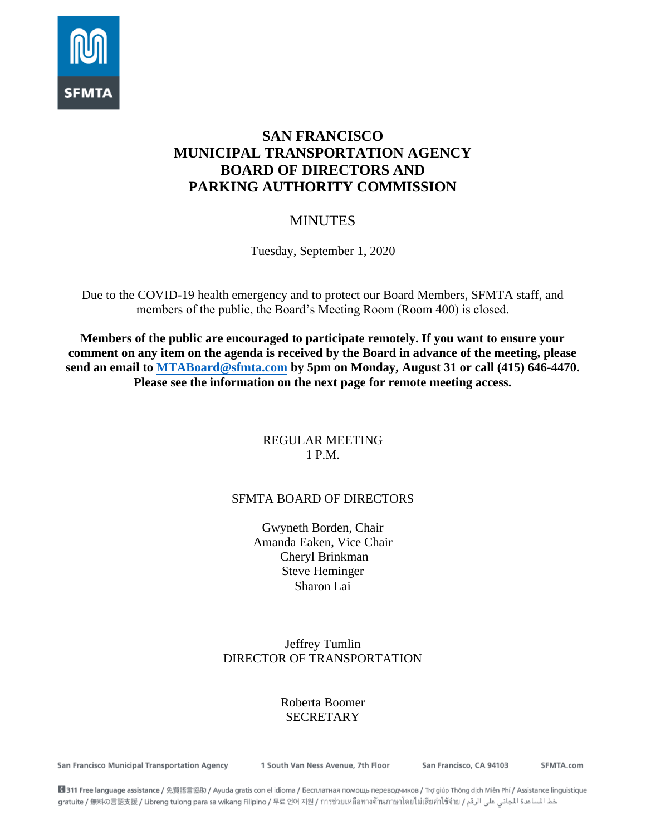

# **SAN FRANCISCO MUNICIPAL TRANSPORTATION AGENCY BOARD OF DIRECTORS AND PARKING AUTHORITY COMMISSION**

# MINUTES

Tuesday, September 1, 2020

Due to the COVID-19 health emergency and to protect our Board Members, SFMTA staff, and members of the public, the Board's Meeting Room (Room 400) is closed.

**Members of the public are encouraged to participate remotely. If you want to ensure your comment on any item on the agenda is received by the Board in advance of the meeting, please send an email to [MTABoard@sfmta.com](mailto:MTABoard@sfmta.com) by 5pm on Monday, August 31 or call (415) 646-4470. Please see the information on the next page for remote meeting access.** 

## REGULAR MEETING 1 P.M.

## SFMTA BOARD OF DIRECTORS

Gwyneth Borden, Chair Amanda Eaken, Vice Chair Cheryl Brinkman Steve Heminger Sharon Lai

## Jeffrey Tumlin DIRECTOR OF TRANSPORTATION

## Roberta Boomer **SECRETARY**

San Francisco Municipal Transportation Agency

1 South Van Ness Avenue, 7th Floor

San Francisco, CA 94103

SFMTA.com

■ 311 Free language assistance / 免費語言協助 / Ayuda gratis con el idioma / Бесплатная помощь переводчиков / Trợ giúp Thông dịch Miễn Phí / Assistance linguistique خط المساعدة المجاني على الرقم / gratuite / 無料の言語支援 / Libreng tulong para sa wikang Filipino / 무료 언어 지원 / การช่วยเหลือทางด้านภาษาโดยไม่เสียค่าไซ้จ่าย / عطالساعدة المجاني على الرقم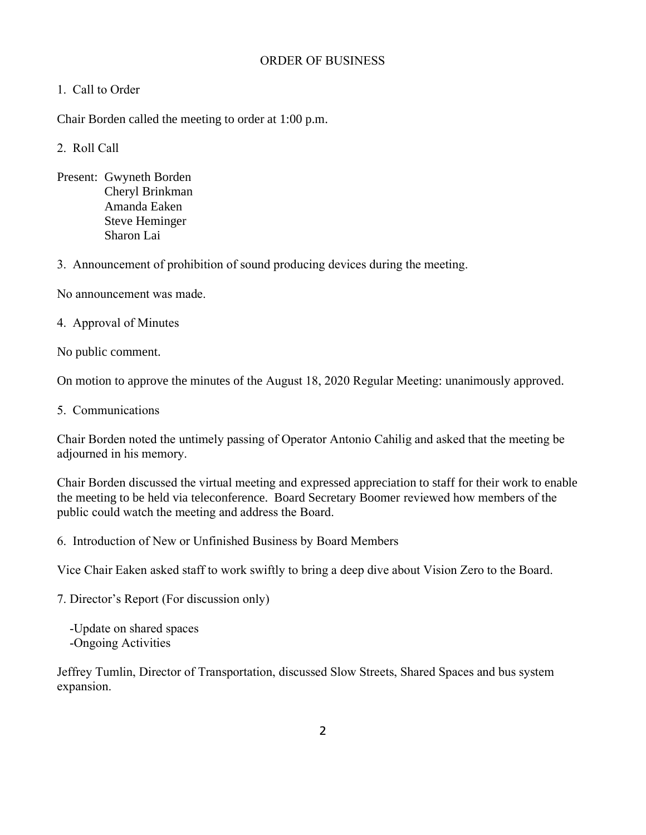#### ORDER OF BUSINESS

#### 1. Call to Order

Chair Borden called the meeting to order at 1:00 p.m.

2. Roll Call

Present: Gwyneth Borden Cheryl Brinkman Amanda Eaken Steve Heminger Sharon Lai

3. Announcement of prohibition of sound producing devices during the meeting.

No announcement was made.

4. Approval of Minutes

No public comment.

On motion to approve the minutes of the August 18, 2020 Regular Meeting: unanimously approved.

5. Communications

Chair Borden noted the untimely passing of Operator Antonio Cahilig and asked that the meeting be adjourned in his memory.

Chair Borden discussed the virtual meeting and expressed appreciation to staff for their work to enable the meeting to be held via teleconference. Board Secretary Boomer reviewed how members of the public could watch the meeting and address the Board.

6. Introduction of New or Unfinished Business by Board Members

Vice Chair Eaken asked staff to work swiftly to bring a deep dive about Vision Zero to the Board.

7. Director's Report (For discussion only)

 -Update on shared spaces -Ongoing Activities

Jeffrey Tumlin, Director of Transportation, discussed Slow Streets, Shared Spaces and bus system expansion.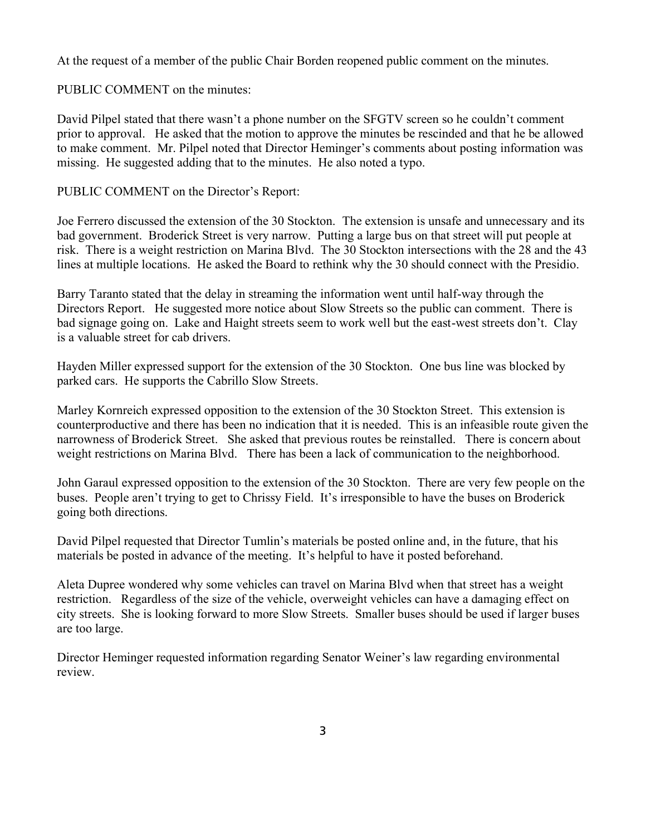At the request of a member of the public Chair Borden reopened public comment on the minutes.

PUBLIC COMMENT on the minutes:

David Pilpel stated that there wasn't a phone number on the SFGTV screen so he couldn't comment prior to approval. He asked that the motion to approve the minutes be rescinded and that he be allowed to make comment. Mr. Pilpel noted that Director Heminger's comments about posting information was missing. He suggested adding that to the minutes. He also noted a typo.

PUBLIC COMMENT on the Director's Report:

Joe Ferrero discussed the extension of the 30 Stockton. The extension is unsafe and unnecessary and its bad government. Broderick Street is very narrow. Putting a large bus on that street will put people at risk. There is a weight restriction on Marina Blvd. The 30 Stockton intersections with the 28 and the 43 lines at multiple locations. He asked the Board to rethink why the 30 should connect with the Presidio.

Barry Taranto stated that the delay in streaming the information went until half-way through the Directors Report. He suggested more notice about Slow Streets so the public can comment. There is bad signage going on. Lake and Haight streets seem to work well but the east-west streets don't. Clay is a valuable street for cab drivers.

Hayden Miller expressed support for the extension of the 30 Stockton. One bus line was blocked by parked cars. He supports the Cabrillo Slow Streets.

Marley Kornreich expressed opposition to the extension of the 30 Stockton Street. This extension is counterproductive and there has been no indication that it is needed. This is an infeasible route given the narrowness of Broderick Street. She asked that previous routes be reinstalled. There is concern about weight restrictions on Marina Blvd. There has been a lack of communication to the neighborhood.

John Garaul expressed opposition to the extension of the 30 Stockton. There are very few people on the buses. People aren't trying to get to Chrissy Field. It's irresponsible to have the buses on Broderick going both directions.

David Pilpel requested that Director Tumlin's materials be posted online and, in the future, that his materials be posted in advance of the meeting. It's helpful to have it posted beforehand.

Aleta Dupree wondered why some vehicles can travel on Marina Blvd when that street has a weight restriction. Regardless of the size of the vehicle, overweight vehicles can have a damaging effect on city streets. She is looking forward to more Slow Streets. Smaller buses should be used if larger buses are too large.

Director Heminger requested information regarding Senator Weiner's law regarding environmental review.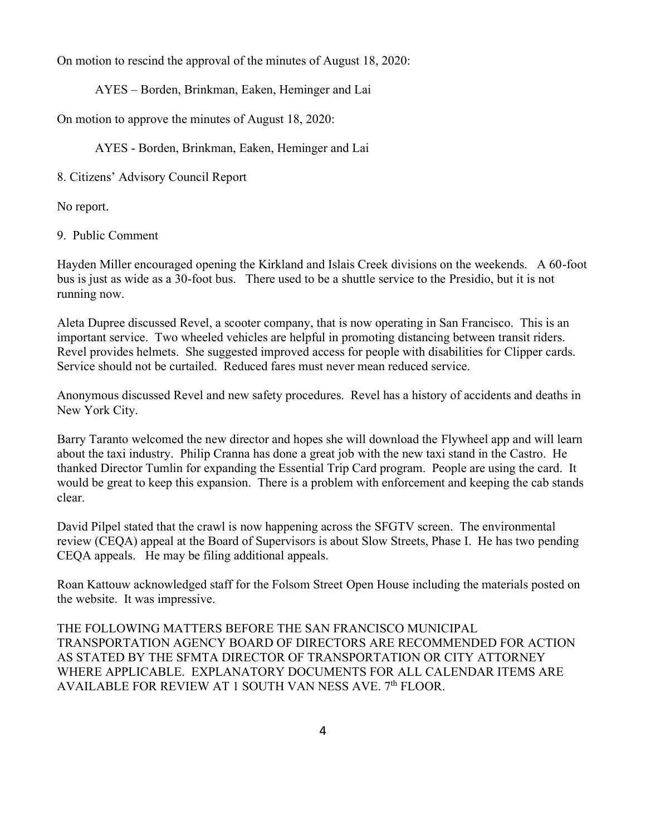On motion to rescind the approval of the minutes of August 18, 2020:

AYES – Borden, Brinkman, Eaken, Heminger and Lai

On motion to approve the minutes of August 18, 2020:

AYES - Borden, Brinkman, Eaken, Heminger and Lai

8. Citizens' Advisory Council Report

No report.

9. Public Comment

Hayden Miller encouraged opening the Kirkland and Islais Creek divisions on the weekends. A 60-foot bus is just as wide as a 30-foot bus. There used to be a shuttle service to the Presidio, but it is not running now.

Aleta Dupree discussed Revel, a scooter company, that is now operating in San Francisco. This is an important service. Two wheeled vehicles are helpful in promoting distancing between transit riders. Revel provides helmets. She suggested improved access for people with disabilities for Clipper cards. Service should not be curtailed. Reduced fares must never mean reduced service.

Anonymous discussed Revel and new safety procedures. Revel has a history of accidents and deaths in New York City.

Barry Taranto welcomed the new director and hopes she will download the Flywheel app and will learn about the taxi industry. Philip Cranna has done a great job with the new taxi stand in the Castro. He thanked Director Tumlin for expanding the Essential Trip Card program. People are using the card. It would be great to keep this expansion. There is a problem with enforcement and keeping the cab stands clear.

David Pilpel stated that the crawl is now happening across the SFGTV screen. The environmental review (CEQA) appeal at the Board of Supervisors is about Slow Streets, Phase I. He has two pending CEQA appeals. He may be filing additional appeals.

Roan Kattouw acknowledged staff for the Folsom Street Open House including the materials posted on the website. It was impressive.

THE FOLLOWING MATTERS BEFORE THE SAN FRANCISCO MUNICIPAL TRANSPORTATION AGENCY BOARD OF DIRECTORS ARE RECOMMENDED FOR ACTION AS STATED BY THE SFMTA DIRECTOR OF TRANSPORTATION OR CITY ATTORNEY WHERE APPLICABLE. EXPLANATORY DOCUMENTS FOR ALL CALENDAR ITEMS ARE AVAILABLE FOR REVIEW AT 1 SOUTH VAN NESS AVE. 7<sup>th</sup> FLOOR.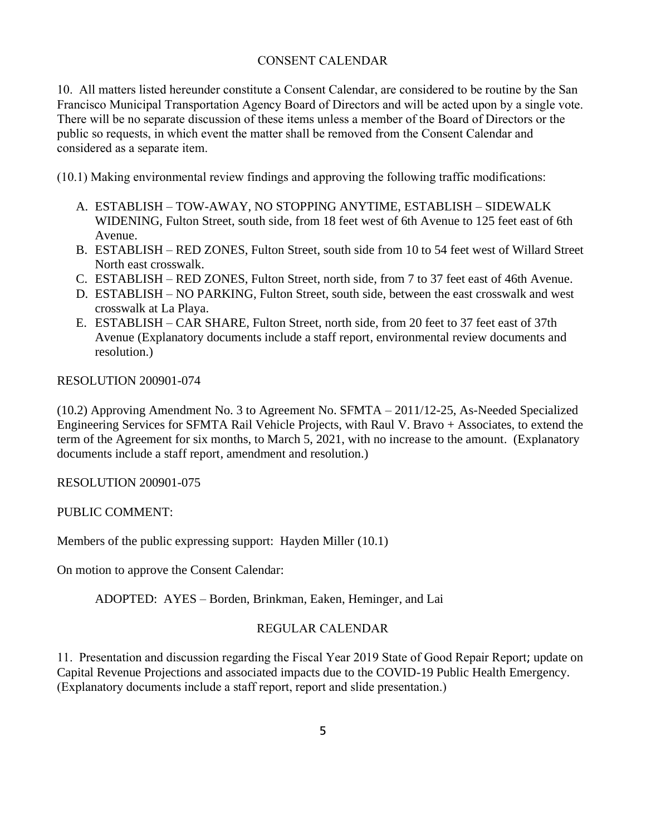### CONSENT CALENDAR

10. All matters listed hereunder constitute a Consent Calendar, are considered to be routine by the San Francisco Municipal Transportation Agency Board of Directors and will be acted upon by a single vote. There will be no separate discussion of these items unless a member of the Board of Directors or the public so requests, in which event the matter shall be removed from the Consent Calendar and considered as a separate item.

(10.1) Making environmental review findings and approving the following traffic modifications:

- A. ESTABLISH TOW-AWAY, NO STOPPING ANYTIME, ESTABLISH SIDEWALK WIDENING, Fulton Street, south side, from 18 feet west of 6th Avenue to 125 feet east of 6th Avenue.
- B. ESTABLISH RED ZONES, Fulton Street, south side from 10 to 54 feet west of Willard Street North east crosswalk.
- C. ESTABLISH RED ZONES, Fulton Street, north side, from 7 to 37 feet east of 46th Avenue.
- D. ESTABLISH NO PARKING, Fulton Street, south side, between the east crosswalk and west crosswalk at La Playa.
- E. ESTABLISH CAR SHARE, Fulton Street, north side, from 20 feet to 37 feet east of 37th Avenue (Explanatory documents include a staff report, environmental review documents and resolution.)

RESOLUTION 200901-074

(10.2) Approving Amendment No. 3 to Agreement No. SFMTA – 2011/12-25, As-Needed Specialized Engineering Services for SFMTA Rail Vehicle Projects, with Raul V. Bravo + Associates, to extend the term of the Agreement for six months, to March 5, 2021, with no increase to the amount. (Explanatory documents include a staff report, amendment and resolution.)

RESOLUTION 200901-075

PUBLIC COMMENT:

Members of the public expressing support: Hayden Miller (10.1)

On motion to approve the Consent Calendar:

ADOPTED: AYES – Borden, Brinkman, Eaken, Heminger, and Lai

#### REGULAR CALENDAR

11. Presentation and discussion regarding the Fiscal Year 2019 State of Good Repair Report; update on Capital Revenue Projections and associated impacts due to the COVID-19 Public Health Emergency. (Explanatory documents include a staff report, report and slide presentation.)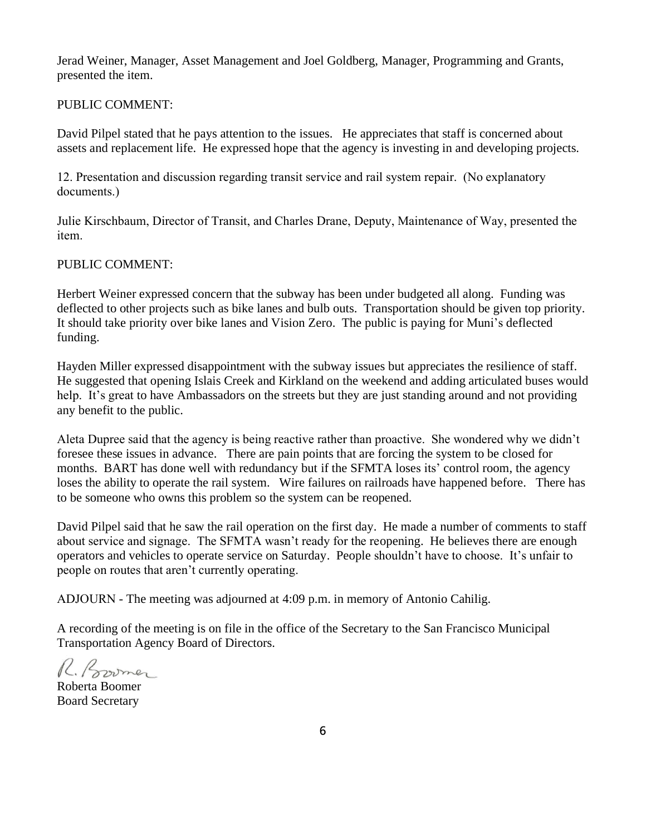Jerad Weiner, Manager, Asset Management and Joel Goldberg, Manager, Programming and Grants, presented the item.

### PUBLIC COMMENT:

David Pilpel stated that he pays attention to the issues. He appreciates that staff is concerned about assets and replacement life. He expressed hope that the agency is investing in and developing projects.

12. Presentation and discussion regarding transit service and rail system repair. (No explanatory documents.)

Julie Kirschbaum, Director of Transit, and Charles Drane, Deputy, Maintenance of Way, presented the item.

#### PUBLIC COMMENT:

Herbert Weiner expressed concern that the subway has been under budgeted all along. Funding was deflected to other projects such as bike lanes and bulb outs. Transportation should be given top priority. It should take priority over bike lanes and Vision Zero. The public is paying for Muni's deflected funding.

Hayden Miller expressed disappointment with the subway issues but appreciates the resilience of staff. He suggested that opening Islais Creek and Kirkland on the weekend and adding articulated buses would help. It's great to have Ambassadors on the streets but they are just standing around and not providing any benefit to the public.

Aleta Dupree said that the agency is being reactive rather than proactive. She wondered why we didn't foresee these issues in advance. There are pain points that are forcing the system to be closed for months. BART has done well with redundancy but if the SFMTA loses its' control room, the agency loses the ability to operate the rail system. Wire failures on railroads have happened before. There has to be someone who owns this problem so the system can be reopened.

David Pilpel said that he saw the rail operation on the first day. He made a number of comments to staff about service and signage. The SFMTA wasn't ready for the reopening. He believes there are enough operators and vehicles to operate service on Saturday. People shouldn't have to choose. It's unfair to people on routes that aren't currently operating.

ADJOURN - The meeting was adjourned at 4:09 p.m. in memory of Antonio Cahilig.

A recording of the meeting is on file in the office of the Secretary to the San Francisco Municipal Transportation Agency Board of Directors.

R. Bormer

Roberta Boomer Board Secretary